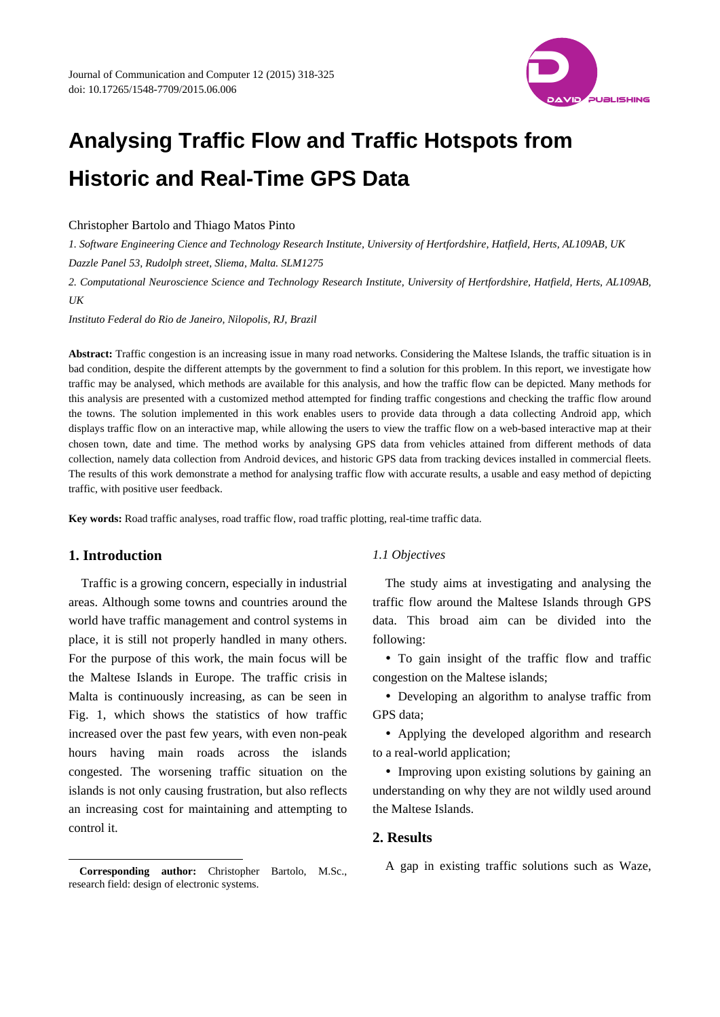

# **Analysing Traffic Flow and Traffic Hotspots from Historic and Real-Time GPS Data**

Christopher Bartolo and Thiago Matos Pinto

*1. Software Engineering Cience and Technology Research Institute, University of Hertfordshire, Hatfield, Herts, AL109AB, UK Dazzle Panel 53, Rudolph street, Sliema, Malta. SLM1275* 

*2. Computational Neuroscience Science and Technology Research Institute, University of Hertfordshire, Hatfield, Herts, AL109AB, UK* 

*Instituto Federal do Rio de Janeiro, Nilopolis, RJ, Brazil* 

**Abstract:** Traffic congestion is an increasing issue in many road networks. Considering the Maltese Islands, the traffic situation is in bad condition, despite the different attempts by the government to find a solution for this problem. In this report, we investigate how traffic may be analysed, which methods are available for this analysis, and how the traffic flow can be depicted. Many methods for this analysis are presented with a customized method attempted for finding traffic congestions and checking the traffic flow around the towns. The solution implemented in this work enables users to provide data through a data collecting Android app, which displays traffic flow on an interactive map, while allowing the users to view the traffic flow on a web-based interactive map at their chosen town, date and time. The method works by analysing GPS data from vehicles attained from different methods of data collection, namely data collection from Android devices, and historic GPS data from tracking devices installed in commercial fleets. The results of this work demonstrate a method for analysing traffic flow with accurate results, a usable and easy method of depicting traffic, with positive user feedback.

**Key words:** Road traffic analyses, road traffic flow, road traffic plotting, real-time traffic data.

# **1. Introduction**

 $\overline{a}$ 

Traffic is a growing concern, especially in industrial areas. Although some towns and countries around the world have traffic management and control systems in place, it is still not properly handled in many others. For the purpose of this work, the main focus will be the Maltese Islands in Europe. The traffic crisis in Malta is continuously increasing, as can be seen in Fig. 1, which shows the statistics of how traffic increased over the past few years, with even non-peak hours having main roads across the islands congested. The worsening traffic situation on the islands is not only causing frustration, but also reflects an increasing cost for maintaining and attempting to control it.

#### **Corresponding author:** Christopher Bartolo, M.Sc., research field: design of electronic systems.

## *1.1 Objectives*

The study aims at investigating and analysing the traffic flow around the Maltese Islands through GPS data. This broad aim can be divided into the following:

 To gain insight of the traffic flow and traffic congestion on the Maltese islands;

 Developing an algorithm to analyse traffic from GPS data;

 Applying the developed algorithm and research to a real-world application;

 Improving upon existing solutions by gaining an understanding on why they are not wildly used around the Maltese Islands.

# **2. Results**

A gap in existing traffic solutions such as Waze,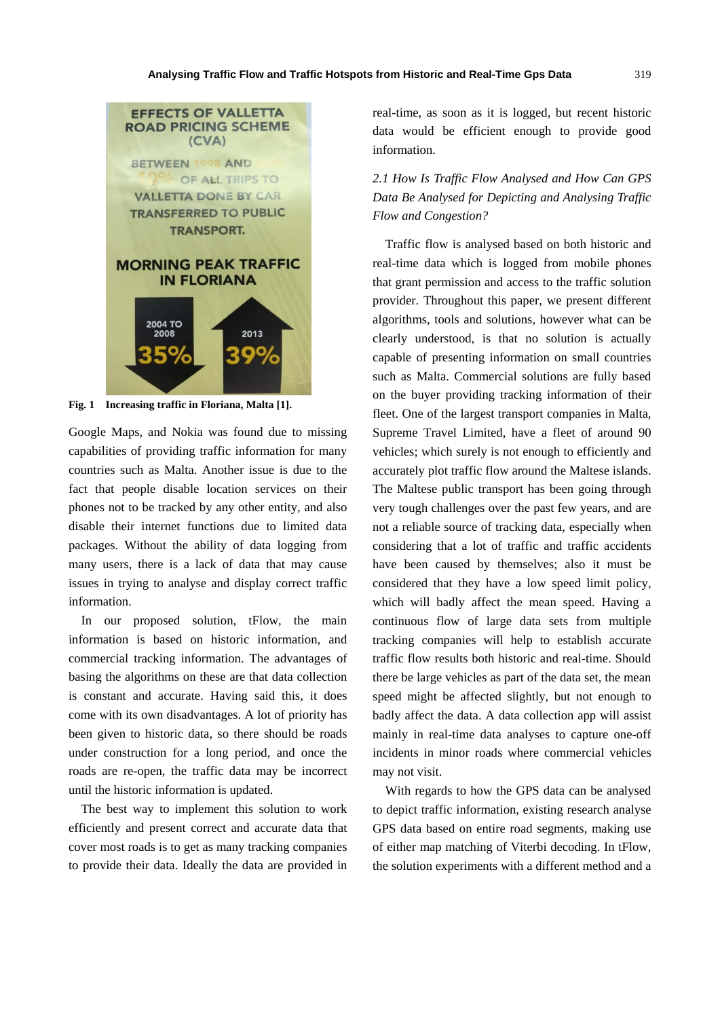

**Fig. 1 Increasing traffic in Floriana, Malta [1].** 

Google Maps, and Nokia was found due to missing capabilities of providing traffic information for many countries such as Malta. Another issue is due to the fact that people disable location services on their phones not to be tracked by any other entity, and also disable their internet functions due to limited data packages. Without the ability of data logging from many users, there is a lack of data that may cause issues in trying to analyse and display correct traffic information.

In our proposed solution, tFlow, the main information is based on historic information, and commercial tracking information. The advantages of basing the algorithms on these are that data collection is constant and accurate. Having said this, it does come with its own disadvantages. A lot of priority has been given to historic data, so there should be roads under construction for a long period, and once the roads are re-open, the traffic data may be incorrect until the historic information is updated.

The best way to implement this solution to work efficiently and present correct and accurate data that cover most roads is to get as many tracking companies to provide their data. Ideally the data are provided in real-time, as soon as it is logged, but recent historic data would be efficient enough to provide good information.

*2.1 How Is Traffic Flow Analysed and How Can GPS Data Be Analysed for Depicting and Analysing Traffic Flow and Congestion?* 

Traffic flow is analysed based on both historic and real-time data which is logged from mobile phones that grant permission and access to the traffic solution provider. Throughout this paper, we present different algorithms, tools and solutions, however what can be clearly understood, is that no solution is actually capable of presenting information on small countries such as Malta. Commercial solutions are fully based on the buyer providing tracking information of their fleet. One of the largest transport companies in Malta, Supreme Travel Limited, have a fleet of around 90 vehicles; which surely is not enough to efficiently and accurately plot traffic flow around the Maltese islands. The Maltese public transport has been going through very tough challenges over the past few years, and are not a reliable source of tracking data, especially when considering that a lot of traffic and traffic accidents have been caused by themselves; also it must be considered that they have a low speed limit policy, which will badly affect the mean speed. Having a continuous flow of large data sets from multiple tracking companies will help to establish accurate traffic flow results both historic and real-time. Should there be large vehicles as part of the data set, the mean speed might be affected slightly, but not enough to badly affect the data. A data collection app will assist mainly in real-time data analyses to capture one-off incidents in minor roads where commercial vehicles may not visit.

With regards to how the GPS data can be analysed to depict traffic information, existing research analyse GPS data based on entire road segments, making use of either map matching of Viterbi decoding. In tFlow, the solution experiments with a different method and a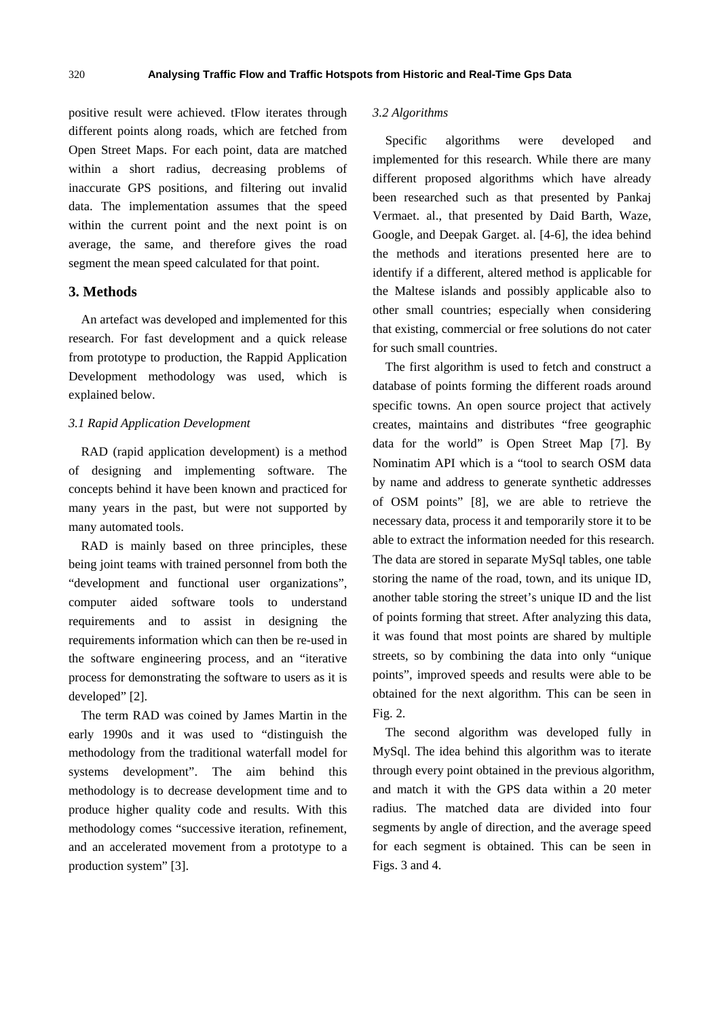positive result were achieved. tFlow iterates through different points along roads, which are fetched from Open Street Maps. For each point, data are matched within a short radius, decreasing problems of inaccurate GPS positions, and filtering out invalid data. The implementation assumes that the speed within the current point and the next point is on average, the same, and therefore gives the road segment the mean speed calculated for that point.

## **3. Methods**

An artefact was developed and implemented for this research. For fast development and a quick release from prototype to production, the Rappid Application Development methodology was used, which is explained below.

## *3.1 Rapid Application Development*

RAD (rapid application development) is a method of designing and implementing software. The concepts behind it have been known and practiced for many years in the past, but were not supported by many automated tools.

RAD is mainly based on three principles, these being joint teams with trained personnel from both the "development and functional user organizations", computer aided software tools to understand requirements and to assist in designing the requirements information which can then be re-used in the software engineering process, and an "iterative process for demonstrating the software to users as it is developed" [2].

The term RAD was coined by James Martin in the early 1990s and it was used to "distinguish the methodology from the traditional waterfall model for systems development". The aim behind this methodology is to decrease development time and to produce higher quality code and results. With this methodology comes "successive iteration, refinement, and an accelerated movement from a prototype to a production system" [3].

# *3.2 Algorithms*

Specific algorithms were developed and implemented for this research. While there are many different proposed algorithms which have already been researched such as that presented by Pankaj Vermaet. al., that presented by Daid Barth, Waze, Google, and Deepak Garget. al. [4-6], the idea behind the methods and iterations presented here are to identify if a different, altered method is applicable for the Maltese islands and possibly applicable also to other small countries; especially when considering that existing, commercial or free solutions do not cater for such small countries.

The first algorithm is used to fetch and construct a database of points forming the different roads around specific towns. An open source project that actively creates, maintains and distributes "free geographic data for the world" is Open Street Map [7]. By Nominatim API which is a "tool to search OSM data by name and address to generate synthetic addresses of OSM points" [8], we are able to retrieve the necessary data, process it and temporarily store it to be able to extract the information needed for this research. The data are stored in separate MySql tables, one table storing the name of the road, town, and its unique ID, another table storing the street's unique ID and the list of points forming that street. After analyzing this data, it was found that most points are shared by multiple streets, so by combining the data into only "unique points", improved speeds and results were able to be obtained for the next algorithm. This can be seen in Fig. 2.

The second algorithm was developed fully in MySql. The idea behind this algorithm was to iterate through every point obtained in the previous algorithm, and match it with the GPS data within a 20 meter radius. The matched data are divided into four segments by angle of direction, and the average speed for each segment is obtained. This can be seen in Figs. 3 and 4.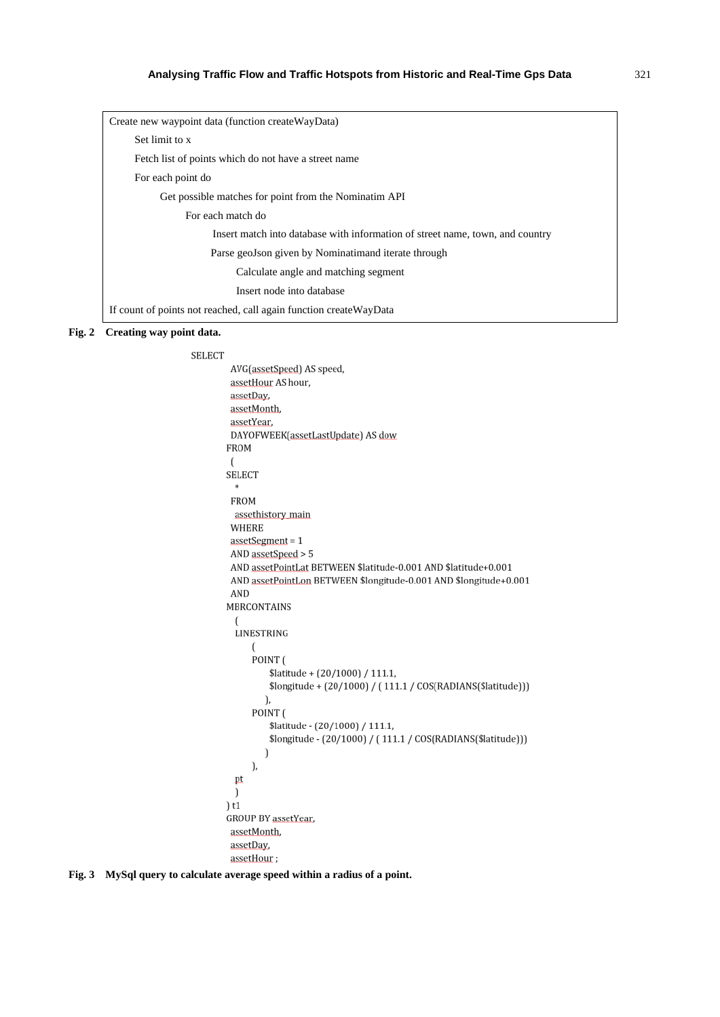| Create new waypoint data (function create WayData)                            |
|-------------------------------------------------------------------------------|
| Set limit to x                                                                |
| Fetch list of points which do not have a street name                          |
| For each point do                                                             |
| Get possible matches for point from the Nominatim API                         |
| For each match do                                                             |
| Insert match into database with information of street name, town, and country |
| Parse geoJson given by Nominatimand iterate through                           |
| Calculate angle and matching segment                                          |
| Insert node into database                                                     |
| If count of points not reached, call again function create WayData            |

#### **Fig. 2 Creating way point data.**

```
SELECT
 AVG(assetSpeed) AS speed,
 assetHour AS hour,
 assetDay,
 assetMonth,
 assetYear,
 DAYOFWEEK(assetLastUpdate) AS dow
FROM
 \sqrt{2}SELECT
  \astFROM
 assethistory_main
 WHERE
 assertSegment = 1AND assetSpeed > 5
 AND assetPointLat BETWEEN $latitude-0.001 AND $latitude+0.001
 AND assetPointLon BETWEEN $longitude-0.001 AND $longitude+0.001
 AND
MBRCONTAINS
  \overline{(}LINESTRING
     \left(POINT (
          $latitude + (20/1000) / 111.1,
          $longitude + (20/1000) / (111.1 / COS(RADIANS($latitude)))
         ),
      POINT (
          $latitude - (20/1000) / 111.1,
          $longitude - (20/1000) / (111.1 / COS(RADIANS($latitude)))
         \mathcal{I}\mathcal{L}pt
  \mathcal{E})t1GROUP BY assetYear
 assetMonth,
 assetDay,
 assetHour;
```
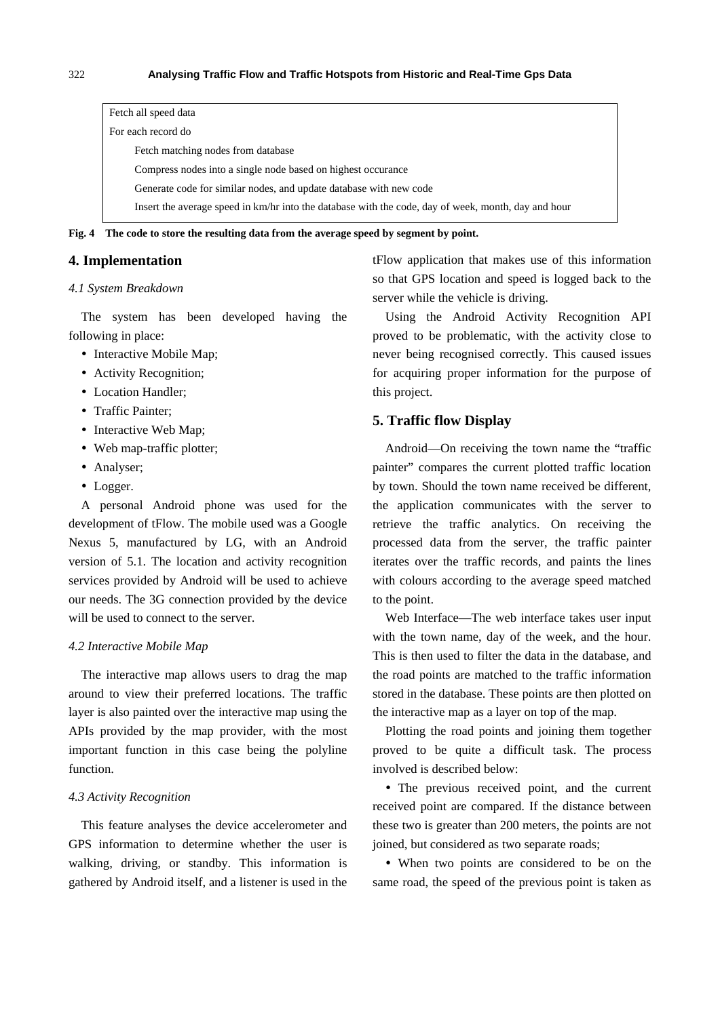| Fetch all speed data                                                                                |
|-----------------------------------------------------------------------------------------------------|
| For each record do                                                                                  |
| Fetch matching nodes from database                                                                  |
| Compress nodes into a single node based on highest occurance                                        |
| Generate code for similar nodes, and update database with new code                                  |
| Insert the average speed in km/hr into the database with the code, day of week, month, day and hour |

**Fig. 4 The code to store the resulting data from the average speed by segment by point.** 

# **4. Implementation**

# *4.1 System Breakdown*

The system has been developed having the following in place:

- Interactive Mobile Map;
- Activity Recognition;
- Location Handler;
- Traffic Painter:
- Interactive Web Map;
- Web map-traffic plotter;
- Analyser;
- Logger.

A personal Android phone was used for the development of tFlow. The mobile used was a Google Nexus 5, manufactured by LG, with an Android version of 5.1. The location and activity recognition services provided by Android will be used to achieve our needs. The 3G connection provided by the device will be used to connect to the server.

#### *4.2 Interactive Mobile Map*

The interactive map allows users to drag the map around to view their preferred locations. The traffic layer is also painted over the interactive map using the APIs provided by the map provider, with the most important function in this case being the polyline function.

#### *4.3 Activity Recognition*

This feature analyses the device accelerometer and GPS information to determine whether the user is walking, driving, or standby. This information is gathered by Android itself, and a listener is used in the tFlow application that makes use of this information so that GPS location and speed is logged back to the server while the vehicle is driving.

Using the Android Activity Recognition API proved to be problematic, with the activity close to never being recognised correctly. This caused issues for acquiring proper information for the purpose of this project.

# **5. Traffic flow Display**

Android—On receiving the town name the "traffic painter" compares the current plotted traffic location by town. Should the town name received be different, the application communicates with the server to retrieve the traffic analytics. On receiving the processed data from the server, the traffic painter iterates over the traffic records, and paints the lines with colours according to the average speed matched to the point.

Web Interface—The web interface takes user input with the town name, day of the week, and the hour. This is then used to filter the data in the database, and the road points are matched to the traffic information stored in the database. These points are then plotted on the interactive map as a layer on top of the map.

Plotting the road points and joining them together proved to be quite a difficult task. The process involved is described below:

 The previous received point, and the current received point are compared. If the distance between these two is greater than 200 meters, the points are not joined, but considered as two separate roads;

 When two points are considered to be on the same road, the speed of the previous point is taken as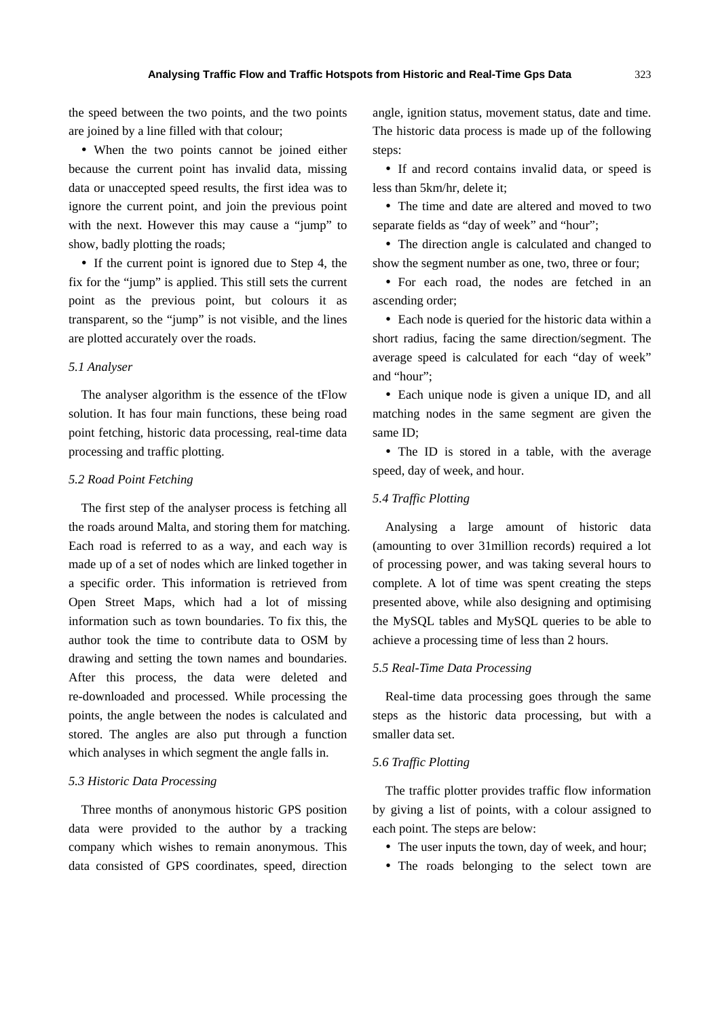the speed between the two points, and the two points are joined by a line filled with that colour;

 When the two points cannot be joined either because the current point has invalid data, missing data or unaccepted speed results, the first idea was to ignore the current point, and join the previous point with the next. However this may cause a "jump" to show, badly plotting the roads;

• If the current point is ignored due to Step 4, the fix for the "jump" is applied. This still sets the current point as the previous point, but colours it as transparent, so the "jump" is not visible, and the lines are plotted accurately over the roads.

# *5.1 Analyser*

The analyser algorithm is the essence of the tFlow solution. It has four main functions, these being road point fetching, historic data processing, real-time data processing and traffic plotting.

#### *5.2 Road Point Fetching*

The first step of the analyser process is fetching all the roads around Malta, and storing them for matching. Each road is referred to as a way, and each way is made up of a set of nodes which are linked together in a specific order. This information is retrieved from Open Street Maps, which had a lot of missing information such as town boundaries. To fix this, the author took the time to contribute data to OSM by drawing and setting the town names and boundaries. After this process, the data were deleted and re-downloaded and processed. While processing the points, the angle between the nodes is calculated and stored. The angles are also put through a function which analyses in which segment the angle falls in.

#### *5.3 Historic Data Processing*

Three months of anonymous historic GPS position data were provided to the author by a tracking company which wishes to remain anonymous. This data consisted of GPS coordinates, speed, direction angle, ignition status, movement status, date and time. The historic data process is made up of the following steps:

• If and record contains invalid data, or speed is less than 5km/hr, delete it;

 The time and date are altered and moved to two separate fields as "day of week" and "hour";

 The direction angle is calculated and changed to show the segment number as one, two, three or four;

 For each road, the nodes are fetched in an ascending order;

 Each node is queried for the historic data within a short radius, facing the same direction/segment. The average speed is calculated for each "day of week" and "hour";

 Each unique node is given a unique ID, and all matching nodes in the same segment are given the same ID;

• The ID is stored in a table, with the average speed, day of week, and hour.

# *5.4 Traffic Plotting*

Analysing a large amount of historic data (amounting to over 31million records) required a lot of processing power, and was taking several hours to complete. A lot of time was spent creating the steps presented above, while also designing and optimising the MySQL tables and MySQL queries to be able to achieve a processing time of less than 2 hours.

### *5.5 Real-Time Data Processing*

Real-time data processing goes through the same steps as the historic data processing, but with a smaller data set.

## *5.6 Traffic Plotting*

The traffic plotter provides traffic flow information by giving a list of points, with a colour assigned to each point. The steps are below:

- The user inputs the town, day of week, and hour;
- The roads belonging to the select town are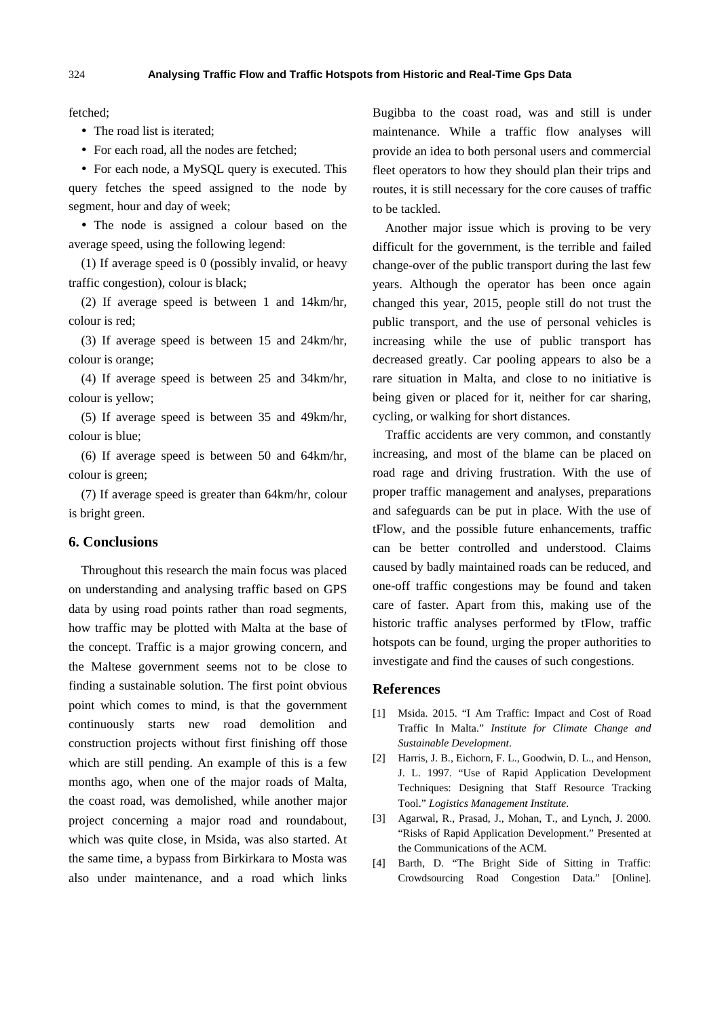fetched;

• The road list is iterated;

• For each road, all the nodes are fetched;

• For each node, a MySQL query is executed. This query fetches the speed assigned to the node by segment, hour and day of week;

 The node is assigned a colour based on the average speed, using the following legend:

(1) If average speed is 0 (possibly invalid, or heavy traffic congestion), colour is black;

(2) If average speed is between 1 and 14km/hr, colour is red;

(3) If average speed is between 15 and 24km/hr, colour is orange;

(4) If average speed is between 25 and 34km/hr, colour is yellow;

(5) If average speed is between 35 and 49km/hr, colour is blue;

(6) If average speed is between 50 and 64km/hr, colour is green;

(7) If average speed is greater than 64km/hr, colour is bright green.

## **6. Conclusions**

Throughout this research the main focus was placed on understanding and analysing traffic based on GPS data by using road points rather than road segments, how traffic may be plotted with Malta at the base of the concept. Traffic is a major growing concern, and the Maltese government seems not to be close to finding a sustainable solution. The first point obvious point which comes to mind, is that the government continuously starts new road demolition and construction projects without first finishing off those which are still pending. An example of this is a few months ago, when one of the major roads of Malta, the coast road, was demolished, while another major project concerning a major road and roundabout, which was quite close, in Msida, was also started. At the same time, a bypass from Birkirkara to Mosta was also under maintenance, and a road which links

Bugibba to the coast road, was and still is under maintenance. While a traffic flow analyses will provide an idea to both personal users and commercial fleet operators to how they should plan their trips and routes, it is still necessary for the core causes of traffic to be tackled.

Another major issue which is proving to be very difficult for the government, is the terrible and failed change-over of the public transport during the last few years. Although the operator has been once again changed this year, 2015, people still do not trust the public transport, and the use of personal vehicles is increasing while the use of public transport has decreased greatly. Car pooling appears to also be a rare situation in Malta, and close to no initiative is being given or placed for it, neither for car sharing, cycling, or walking for short distances.

Traffic accidents are very common, and constantly increasing, and most of the blame can be placed on road rage and driving frustration. With the use of proper traffic management and analyses, preparations and safeguards can be put in place. With the use of tFlow, and the possible future enhancements, traffic can be better controlled and understood. Claims caused by badly maintained roads can be reduced, and one-off traffic congestions may be found and taken care of faster. Apart from this, making use of the historic traffic analyses performed by tFlow, traffic hotspots can be found, urging the proper authorities to investigate and find the causes of such congestions.

## **References**

- [1] Msida. 2015. "I Am Traffic: Impact and Cost of Road Traffic In Malta." *Institute for Climate Change and Sustainable Development*.
- [2] Harris, J. B., Eichorn, F. L., Goodwin, D. L., and Henson, J. L. 1997. "Use of Rapid Application Development Techniques: Designing that Staff Resource Tracking Tool." *Logistics Management Institute*.
- [3] Agarwal, R., Prasad, J., Mohan, T., and Lynch, J. 2000. "Risks of Rapid Application Development." Presented at the Communications of the ACM.
- [4] Barth, D. "The Bright Side of Sitting in Traffic: Crowdsourcing Road Congestion Data." [Online].